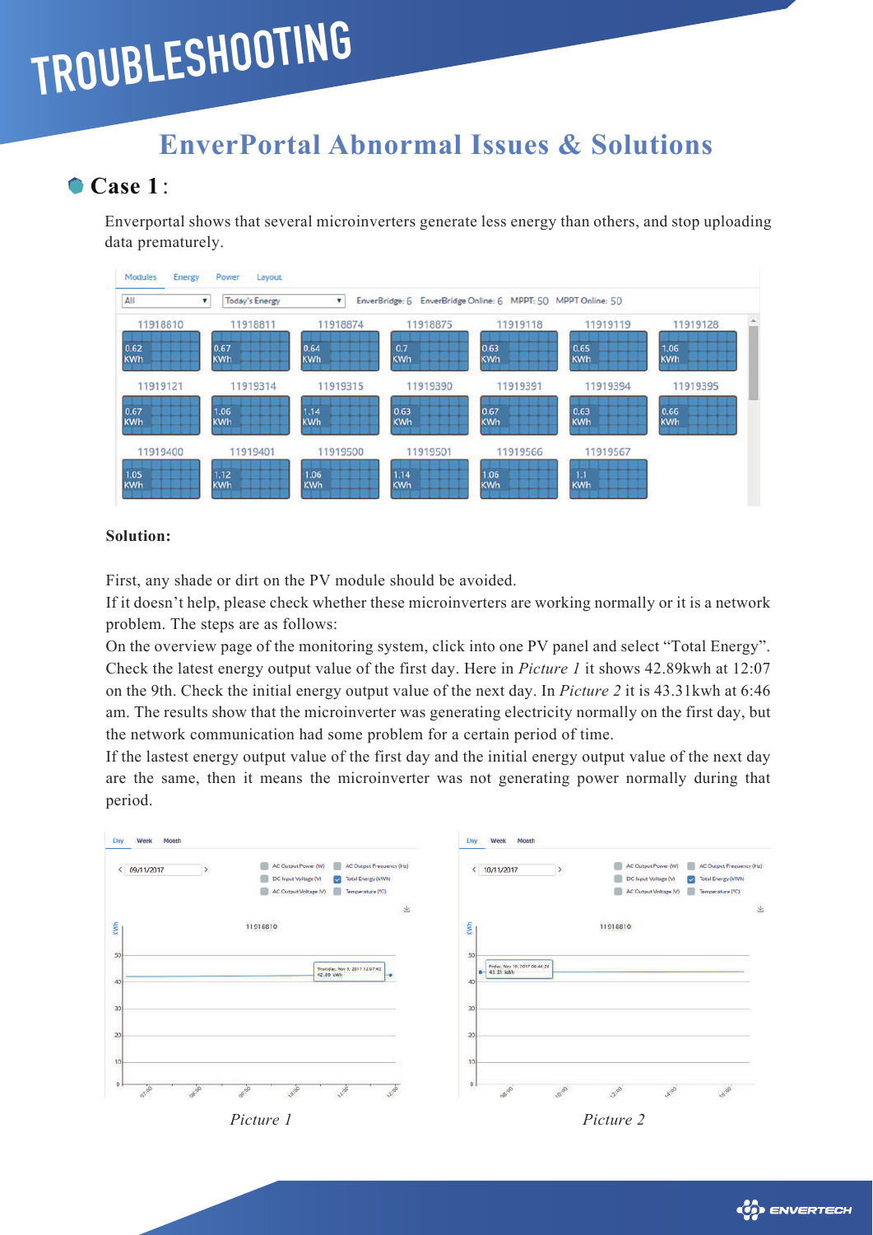# **TROUBLESHOOTING**

# **EnverPortal Abnormal Issues & Solutions**

# **Case 1**:

Enverportal shows that several microinverters generate less energy than others, and stop uploading data prematurely.



#### **Solution:**

First, any shade or dirt on the PV module should be avoided.

If it doesn't help, please check whether these microinverters are working normally or it is a network problem. The steps are as follows:

On the overview page of the monitoring system, click into one PV panel and select "Total Energy". Check the latest energy output value of the first day. Here in *Picture 1* it shows 42.89kwh at 12:07 on the 9th. Check the initial energy output value of the next day. In *Picture 2* it is 43.31kwh at 6:46 am. The results show that the microinverter was generating electricity normally on the first day, but the network communication had some problem for a certain period of time.

If the lastest energy output value of the first day and the initial energy output value of the next day are the same, then it means the microinverter was not generating power normally during that period.



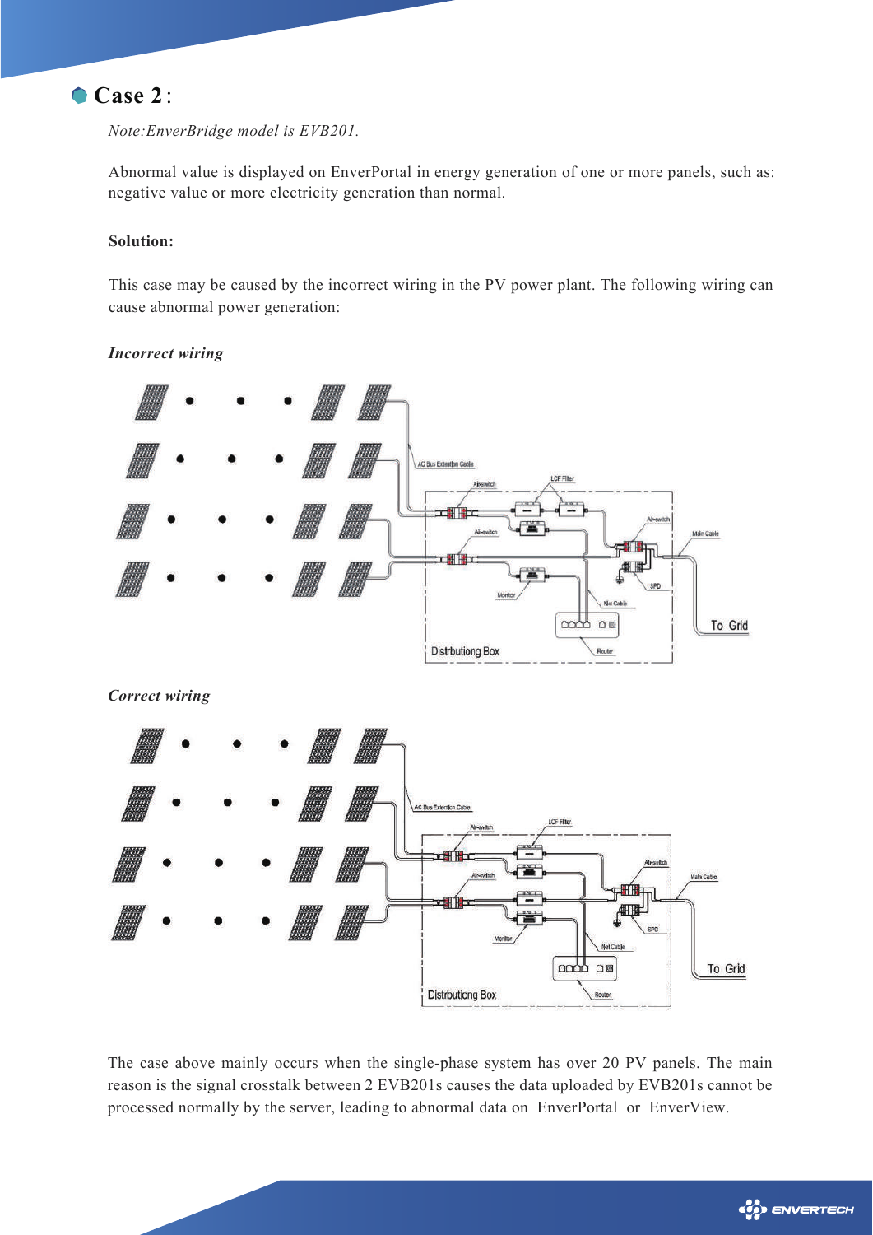## **Case 2**:

*Note:EnverBridge model is EVB201.*

Abnormal value is displayed on EnverPortal in energy generation of one or more panels, such as: negative value or more electricity generation than normal.

#### **Solution:**

This case may be caused by the incorrect wiring in the PV power plant. The following wiring can cause abnormal power generation:

#### *Incorrect wiring*



*Correct wiring*



The case above mainly occurs when the single-phase system has over 20 PV panels. The main reason is the signal crosstalk between 2 EVB201s causes the data uploaded by EVB201s cannot be processed normally by the server, leading to abnormal data on EnverPortal or EnverView.

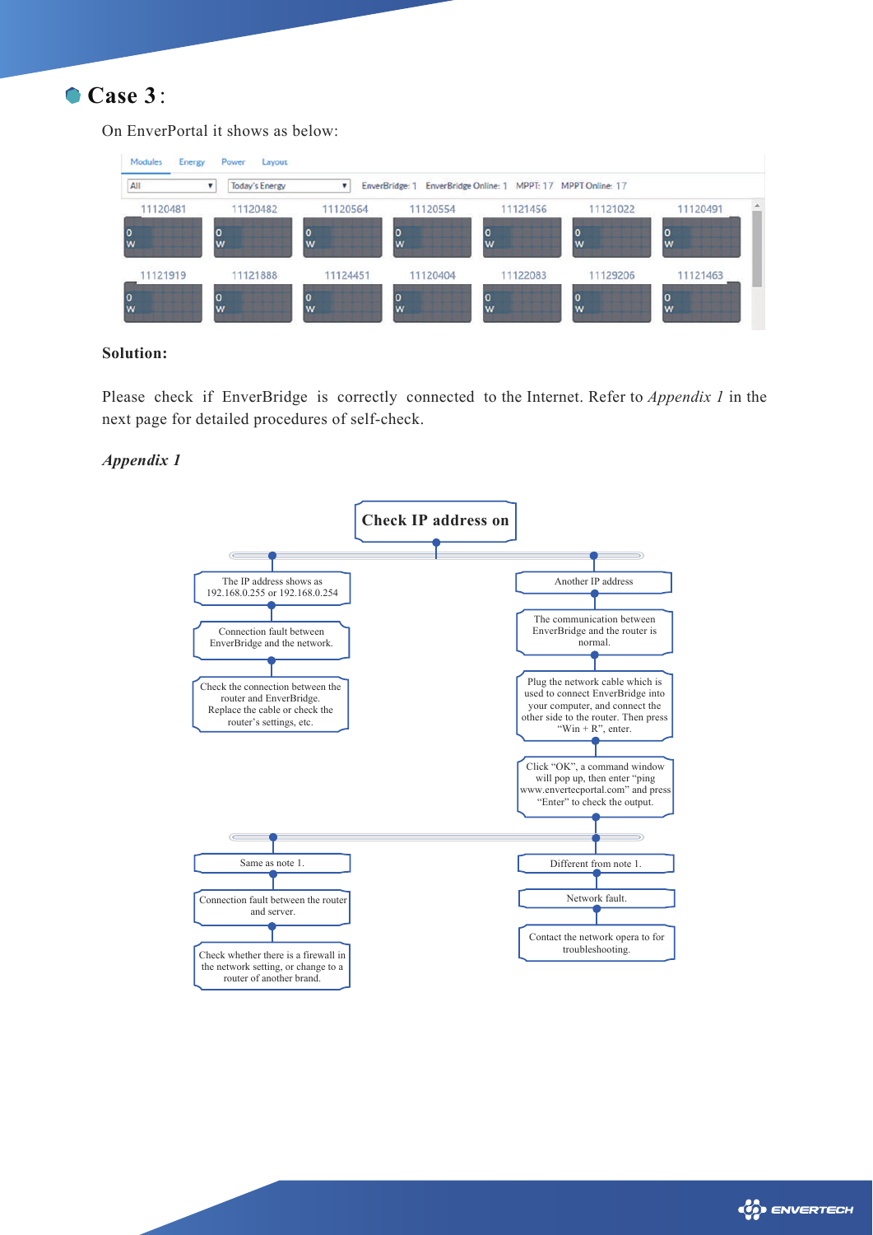

On EnverPortal it shows as below:

| All      | Today's Energy    |          | EnverBridge: 1 | EnverBridge Online: 1 MPPT: 17 MPPT Online: 17 |          |          |  |
|----------|-------------------|----------|----------------|------------------------------------------------|----------|----------|--|
| 11120481 | 11120482          | 11120564 | 11120554       | 11121456                                       | 11121022 | 11120491 |  |
| W        | 0<br>W            | O<br>W   | 0<br>w         | 0<br>W                                         | W        | 0<br>W   |  |
| 11121919 | 11121888          | 11124451 | 11120404       | 11122083                                       | 11129206 | 11121463 |  |
| W        | $\mathbf{o}$<br>w | 10<br>w  | $\bf o$<br>W   | $\overline{0}$<br>W                            | W        | 0<br>W   |  |

#### **Solution:**

Please check if EnverBridge is correctly connected to the Internet. Refer to *Appendix 1* in the next page for detailed procedures of self-check.

#### *Appendix 1*